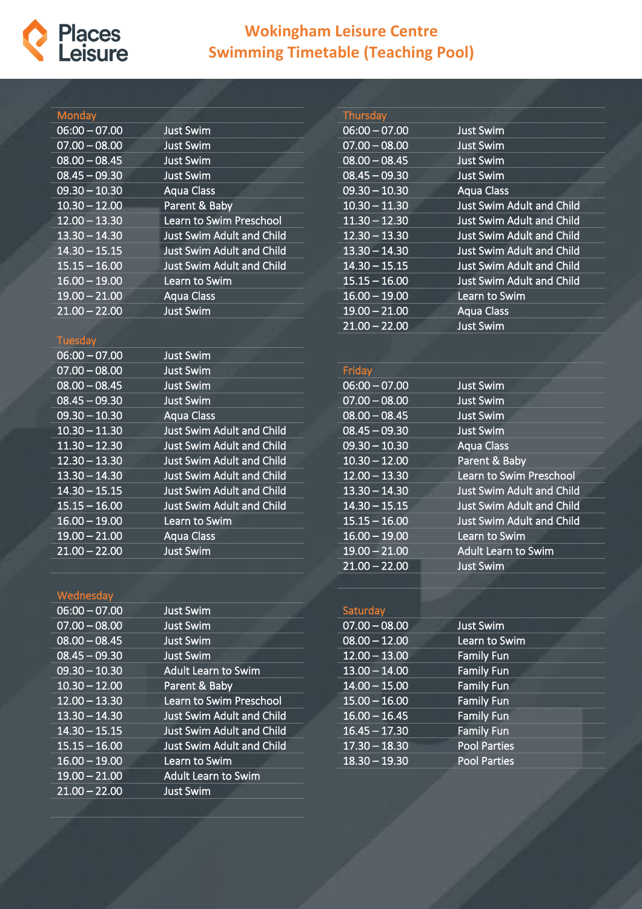

## **Wokingham Leisure Centre Swimming Timetable (Teaching Pool)**

| Monday                     |                                  | Thursday                   |                                  |
|----------------------------|----------------------------------|----------------------------|----------------------------------|
| $06:00 - 07.00$            | <b>Just Swim</b>                 | $06:00 - 07.00$            | <b>Just Swim</b>                 |
| $07.00 - 08.00$            | <b>Just Swim</b>                 | $07.00 - 08.00$            | <b>Just Swim</b>                 |
| $08.00 - 08.45$            | <b>Just Swim</b>                 | $08.00 - 08.45$            | <b>Just Swim</b>                 |
| $08.45 - 09.30$            | <b>Just Swim</b>                 | $\overline{08.45 - 09.30}$ | <b>Just Swim</b>                 |
| $09.30 - 10.30$            | <b>Aqua Class</b>                | $09.30 - 10.30$            | <b>Aqua Class</b>                |
| $10.30 - 12.00$            | Parent & Baby                    | $10.30 - 11.30$            | Just Swim Adult and Child        |
| $12.00 - 13.30$            | Learn to Swim Preschool          | $11.30 - 12.30$            | <b>Just Swim Adult and Child</b> |
| $13.30 - 14.30$            | <b>Just Swim Adult and Child</b> | $12.30 - 13.30$            | <b>Just Swim Adult and Child</b> |
| $14.30 - 15.15$            | <b>Just Swim Adult and Child</b> | $13.30 - 14.30$            | <b>Just Swim Adult and Child</b> |
| $\overline{15.15 - 16.00}$ | <b>Just Swim Adult and Child</b> | $14.30 - 15.15$            | <b>Just Swim Adult and Child</b> |
| $16.00 - 19.00$            | Learn to Swim                    | $15.15 - 16.00$            | <b>Just Swim Adult and Child</b> |
| $19.00 - 21.00$            | <b>Aqua Class</b>                | $16.00 - 19.00$            | Learn to Swim                    |
| $21.00 - 22.00$            | <b>Just Swim</b>                 | $19.00 - 21.00$            | <b>Aqua Class</b>                |
|                            |                                  | $21.00 - 22.00$            | <b>Just Swim</b>                 |
| <b>Tuesday</b>             |                                  |                            |                                  |
| $06:00 - 07.00$            | <b>Just Swim</b>                 |                            |                                  |
| $07.00 - 08.00$            | <b>Just Swim</b>                 | Friday                     |                                  |
| $08.00 - 08.45$            | <b>Just Swim</b>                 | $06:00 - 07.00$            | <b>Just Swim</b>                 |
| $08.45 - 09.30$            | <b>Just Swim</b>                 | $07.00 - 08.00$            | <b>Just Swim</b>                 |
| $09.30 - 10.30$            | <b>Aqua Class</b>                | $08.00 - 08.45$            | <b>Just Swim</b>                 |
| $10.30 - 11.30$            | <b>Just Swim Adult and Child</b> | $08.45 - 09.30$            | <b>Just Swim</b>                 |
| $11.30 - 12.30$            | <b>Just Swim Adult and Child</b> | $09.30 - 10.30$            | <b>Aqua Class</b>                |
| $12.30 - 13.30$            | <b>Just Swim Adult and Child</b> | $10.30 - 12.00$            | Parent & Baby                    |
| $13.30 - 14.30$            | <b>Just Swim Adult and Child</b> | $12.00 - 13.30$            | Learn to Swim Preschool          |
| $14.30 - 15.15$            | <b>Just Swim Adult and Child</b> | $13.30 - 14.30$            | Just Swim Adult and Child        |
| $15.15 - 16.00$            | Just Swim Adult and Child        | $14.30 - 15.15$            | <b>Just Swim Adult and Child</b> |
| $16.00 - 19.00$            | Learn to Swim                    | $15.15 - 16.00$            | <b>Just Swim Adult and Child</b> |
| $19.00 - 21.00$            | Aqua Class                       | $16.00 - 19.00$            | Learn to Swim                    |
| $21.00 - 22.00$            | <b>Just Swim</b>                 | $19.00 - 21.00$            | <b>Adult Learn to Swim</b>       |
|                            |                                  | $21.00 - 22.00$            | <b>Just Swim</b>                 |

## Wednesda

| Just Swim                        |
|----------------------------------|
| <b>Just Swim</b>                 |
| <b>Just Swim</b>                 |
| <b>Just Swim</b>                 |
| <b>Adult Learn to Swim</b>       |
| Parent & Baby                    |
| Learn to Swim Preschool          |
| Just Swim Adult and Child        |
| <b>Just Swim Adult and Child</b> |
| <b>Just Swim Adult and Child</b> |
| Learn to Swim                    |
| <b>Adult Learn to Swim</b>       |
| <b>Just Swim</b>                 |
|                                  |

## Saturday 07.00 – 08.00 Just Swim 08.00 – 12.00 Learn to Swim 12.00 – 13.00 Family Fun 13.00 – 14.00 Family Fun 14.00 – 15.00 Family Fun 15.00 – 16.00 Family Fun 16.00 – 16.45 Family Fun 16.45 – 17.30 Family Fun 17.30 – 18.30 Pool Parties 18.30 – 19.30 Pool Parties